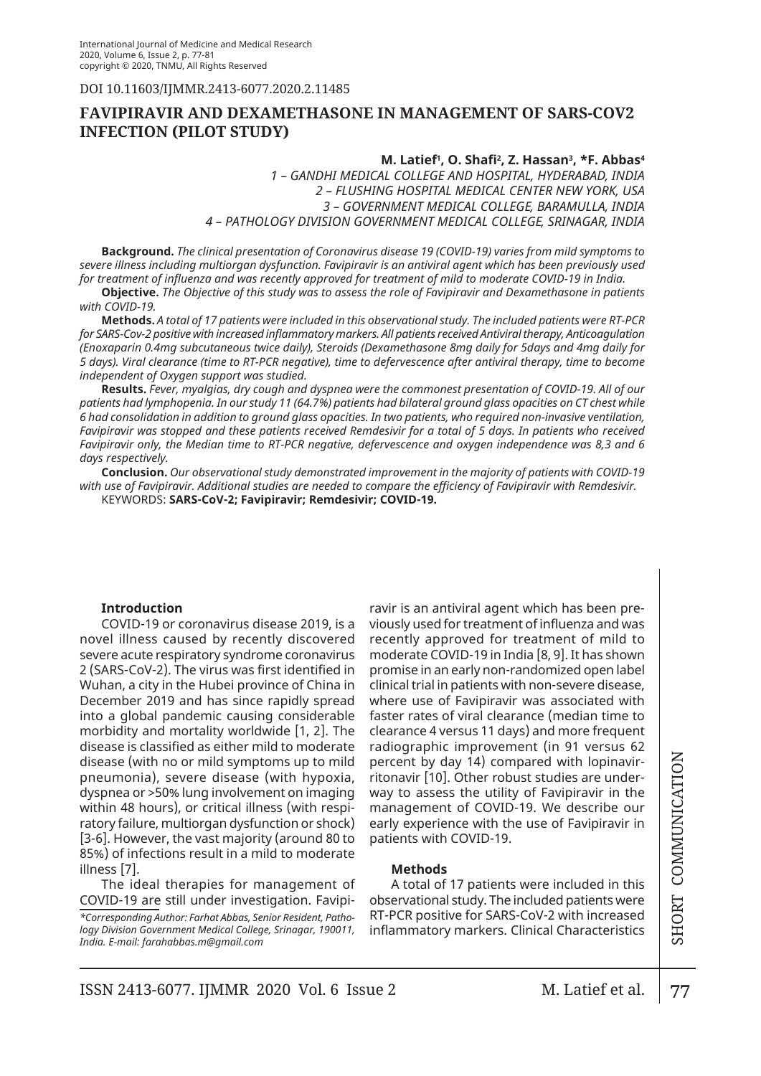DOI 10.11603/ijmmr.2413-6077.2020.2.11485

# **FAVIPIRAVIR AND DEXAMETHASONE IN MANAGEMENT OF SARS-COV2 INFECTION (pilot study)**

## **M. Latief1 , O. Shafi<sup>2</sup> , Z. Hassan3 , \*F. Abbas4**

*1 – GANDHI MEDICAL COLLEGE AND HOSPITAL, HYDERABAD, INDIA 2 – FLUSHING HOSPITAL MEDICAL CENTER NEW YORK, USA 3 – GOVERNMENT MEDICAL COLLEGE, BARAMULLA, INDIA 4 – PATHOLOGY DIVISION GOVERNMENT MEDICAL COLLEGE, SRINAGAR, INDIA*

**Background.** *The clinical presentation of Coronavirus disease 19 (COVID-19) varies from mild symptoms to severe illness including multiorgan dysfunction. Favipiravir is an antiviral agent which has been previously used for treatment of influenza and was recently approved for treatment of mild to moderate COVID-19 in India.*

**Objective.** *The Objective of this study was to assess the role of Favipiravir and Dexamethasone in patients with COVID-19.*

**Methods.** *A total of 17 patients were included in this observational study. The included patients were RT-PCR for SARS-Cov-2 positive with increased inflammatory markers. All patients received Antiviral therapy, Anticoagulation (Enoxaparin 0.4mg subcutaneous twice daily), Steroids (Dexamethasone 8mg daily for 5days and 4mg daily for 5 days). Viral clearance (time to RT-PCR negative), time to defervescence after antiviral therapy, time to become independent of Oxygen support was studied.*

**Results.** *Fever, myalgias, dry cough and dyspnea were the commonest presentation of COVID-19. All of our patients had lymphopenia. In our study 11 (64.7%) patients had bilateral ground glass opacities on CT chest while 6 had consolidation in addition to ground glass opacities. In two patients, who required non-invasive ventilation,*  Favipiravir was stopped and these patients received Remdesivir for a total of 5 days. In patients who received *Favipiravir only, the Median time to RT-PCR negative, defervescence and oxygen independence was 8,3 and 6 days respectively.* 

**Conclusion.** *Our observational study demonstrated improvement in the majority of patients with COVID-19 with use of Favipiravir. Additional studies are needed to compare the efficiency of Favipiravir with Remdesivir.* KEYWORDS: **SARS-CoV-2; Favipiravir; Remdesivir; COVID-19.**

## **Introduction**

COVID-19 or coronavirus disease 2019, is a novel illness caused by recently discovered severe acute respiratory syndrome coronavirus 2 (SARS-CoV-2). The virus was first identified in Wuhan, a city in the Hubei province of China in December 2019 and has since rapidly spread into a global pandemic causing considerable morbidity and mortality worldwide [1, 2]. The disease is classified as either mild to moderate disease (with no or mild symptoms up to mild pneumonia), severe disease (with hypoxia, dyspnea or >50% lung involvement on imaging within 48 hours), or critical illness (with respiratory failure, multiorgan dysfunction or shock) [3-6]. However, the vast majority (around 80 to 85%) of infections result in a mild to moderate illness [7].

The ideal therapies for management of COVID-19 are still under investigation. Favipi-

*\*Corresponding Author: Farhat Abbas, Senior Resident, Pathology Division Government Medical College, Srinagar, 190011, India. E-mail: farahabbas.m@gmail.com*

ravir is an antiviral agent which has been previously used for treatment of influenza and was recently approved for treatment of mild to moderate COVID-19 in India [8, 9]. It has shown promise in an early non-randomized open label clinical trial in patients with non-severe disease, where use of Favipiravir was associated with faster rates of viral clearance (median time to clearance 4 versus 11 days) and more frequent radiographic improvement (in 91 versus 62 percent by day 14) compared with lopinavirritonavir [10]. Other robust studies are underway to assess the utility of Favipiravir in the management of COVID-19. We describe our early experience with the use of Favipiravir in patients with COVID-19.

### **Methods**

A total of 17 patients were included in this observational study. The included patients were RT-PCR positive for SARS-CoV-2 with increased inflammatory markers. Clinical Characteristics

 $ZOIROISNSO0$  LAOHS | 77 SHORT COMMUNICATION

77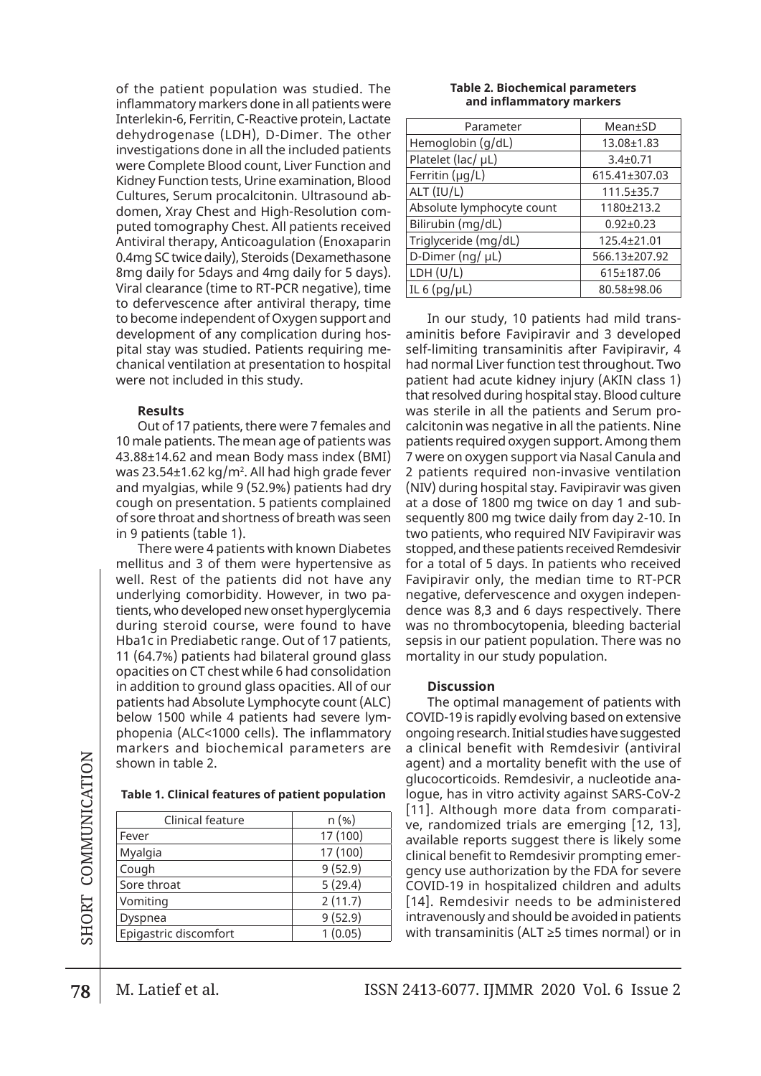of the patient population was studied. The inflammatory markers done in all patients were Interlekin-6, Ferritin, C-Reactive protein, Lactate dehydrogenase (LDH), D-Dimer. The other investigations done in all the included patients were Complete Blood count, Liver Function and Kidney Function tests, Urine examination, Blood Cultures, Serum procalcitonin. Ultrasound abdomen, Xray Chest and High-Resolution computed tomography Chest. All patients received Antiviral therapy, Anticoagulation (Enoxaparin 0.4mg SC twice daily), Steroids (Dexamethasone 8mg daily for 5days and 4mg daily for 5 days). Viral clearance (time to RT-PCR negative), time to defervescence after antiviral therapy, time to become independent of Oxygen support and development of any complication during hospital stay was studied. Patients requiring mechanical ventilation at presentation to hospital were not included in this study.

### **Results**

Out of 17 patients, there were 7 females and 10 male patients. The mean age of patients was 43.88±14.62 and mean Body mass index (BMI) was 23.54±1.62 kg/m². All had high grade fever and myalgias, while 9 (52.9%) patients had dry cough on presentation. 5 patients complained of sore throat and shortness of breath was seen in 9 patients (table 1).

There were 4 patients with known Diabetes mellitus and 3 of them were hypertensive as well. Rest of the patients did not have any underlying comorbidity. However, in two patients, who developed new onset hyperglycemia during steroid course, were found to have Hba1c in Prediabetic range. Out of 17 patients, 11 (64.7%) patients had bilateral ground glass opacities on CT chest while 6 had consolidation in addition to ground glass opacities. All of our patients had Absolute Lymphocyte count (ALC) below 1500 while 4 patients had severe lymphopenia (ALC<1000 cells). The inflammatory markers and biochemical parameters are shown in table 2.

#### **Table 1. Clinical features of patient population**

| Clinical feature      | $n (\%)$ |
|-----------------------|----------|
| Fever                 | 17 (100) |
| Myalgia               | 17 (100) |
| Cough                 | 9(52.9)  |
| Sore throat           | 5(29.4)  |
| Vomiting              | 2(11.7)  |
| Dyspnea               | 9(52.9)  |
| Epigastric discomfort | 1(0.05)  |
|                       |          |

#### **Table 2. Biochemical parameters and inflammatory markers**

| Parameter                 | Mean±SD          |
|---------------------------|------------------|
| Hemoglobin (g/dL)         | 13.08±1.83       |
| Platelet (lac/ µL)        | $3.4 \pm 0.71$   |
| Ferritin $(\mu q/L)$      | 615.41±307.03    |
| ALT (IU/L)                | $111.5 \pm 35.7$ |
| Absolute lymphocyte count | 1180±213.2       |
| Bilirubin (mg/dL)         | $0.92 \pm 0.23$  |
| Triglyceride (mg/dL)      | 125.4±21.01      |
| D-Dimer (ng/ µL)          | 566.13±207.92    |
| LDH (U/L)                 | 615±187.06       |
| IL 6 $(pg/\mu L)$         | 80.58±98.06      |

In our study, 10 patients had mild transaminitis before Favipiravir and 3 developed self-limiting transaminitis after Favipiravir, 4 had normal Liver function test throughout. Two patient had acute kidney injury (AKIN class 1) that resolved during hospital stay. Blood culture was sterile in all the patients and Serum procalcitonin was negative in all the patients. Nine patients required oxygen support. Among them 7 were on oxygen support via Nasal Canula and 2 patients required non-invasive ventilation (NIV) during hospital stay. Favipiravir was given at a dose of 1800 mg twice on day 1 and subsequently 800 mg twice daily from day 2-10. In two patients, who required NIV Favipiravir was stopped, and these patients received Remdesivir for a total of 5 days. In patients who received Favipiravir only, the median time to RT-PCR negative, defervescence and oxygen independence was 8,3 and 6 days respectively. There was no thrombocytopenia, bleeding bacterial sepsis in our patient population. There was no mortality in our study population.

### **Discussion**

The optimal management of patients with COVID-19 is rapidly evolving based on extensive ongoing research. Initial studies have suggested a clinical benefit with Remdesivir (antiviral agent) and a mortality benefit with the use of glucocorticoids. Remdesivir, a nucleotide analogue, has in vitro activity against SARS-CoV-2 [11]. Although more data from comparative, randomized trials are emerging [12, 13], available reports suggest there is likely some clinical benefit to Remdesivir prompting emergency use authorization by the FDA for severe COVID-19 in hospitalized children and adults [14]. Remdesivir needs to be administered intravenously and should be avoided in patients with transaminitis (ALT ≥5 times normal) or in

78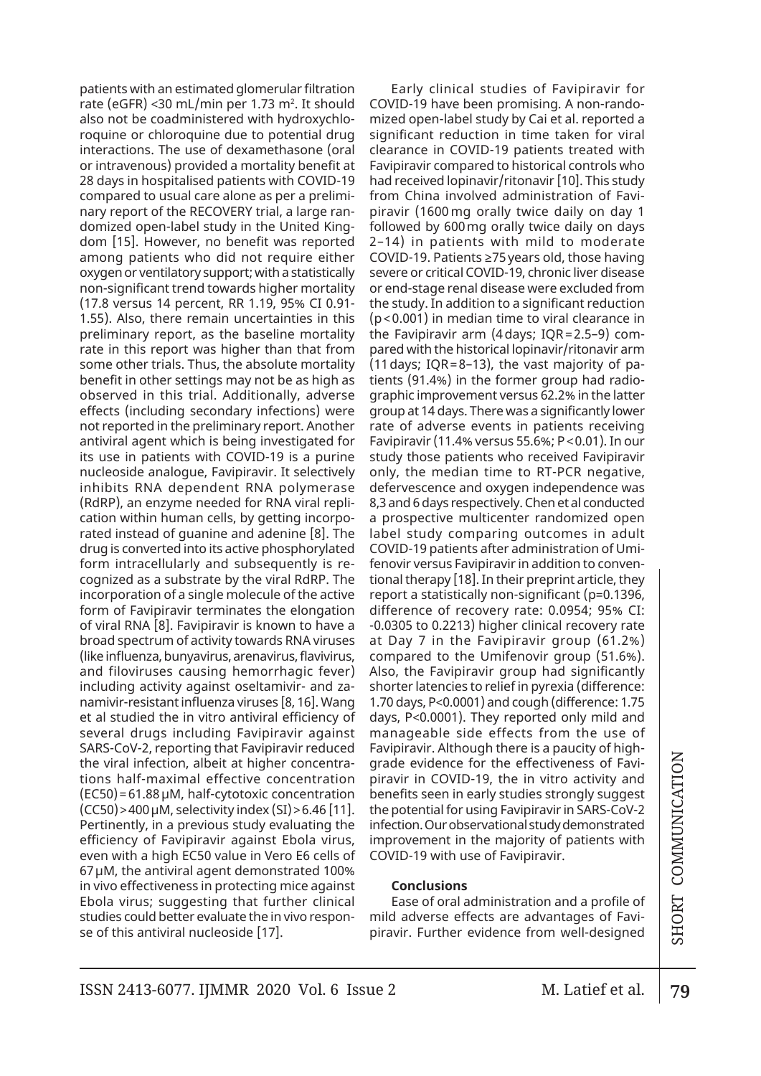patients with an estimated glomerular filtration rate (eGFR) <30 mL/min per 1.73 m². It should also not be coadministered with hydroxychloroquine or chloroquine due to potential drug interactions. The use of dexamethasone (oral or intravenous) provided a mortality benefit at 28 days in hospitalised patients with COVID-19 compared to usual care alone as per a preliminary report of the RECOVERY trial, a large randomized open-label study in the United Kingdom [15]. However, no benefit was reported among patients who did not require either oxygen or ventilatory support; with a statistically non-significant trend towards higher mortality (17.8 versus 14 percent, RR 1.19, 95% CI 0.91- 1.55). Also, there remain uncertainties in this preliminary report, as the baseline mortality rate in this report was higher than that from some other trials. Thus, the absolute mortality benefit in other settings may not be as high as observed in this trial. Additionally, adverse effects (including secondary infections) were not reported in the preliminary report. Another antiviral agent which is being investigated for its use in patients with COVID-19 is a purine nucleoside analogue, Favipiravir. It selectively inhibits RNA dependent RNA polymerase (RdRP), an enzyme needed for RNA viral replication within human cells, by getting incorporated instead of guanine and adenine [8]. The drug is converted into its active phosphorylated form intracellularly and subsequently is recognized as a substrate by the viral RdRP. The incorporation of a single molecule of the active form of Favipiravir terminates the elongation of viral RNA [8]. Favipiravir is known to have a broad spectrum of activity towards RNA viruses (like influenza, bunyavirus, arenavirus, flavivirus, and filoviruses causing hemorrhagic fever) including activity against oseltamivir- and zanamivir-resistant influenza viruses [8, 16]. Wang et al studied the in vitro antiviral efficiency of several drugs including Favipiravir against SARS-CoV-2, reporting that Favipiravir reduced the viral infection, albeit at higher concentrations half-maximal effective concentration (EC50)=61.88μM, half-cytotoxic concentration  $(CC50)$  > 400 µM, selectivity index  $(SI)$  > 6.46 [11]. Pertinently, in a previous study evaluating the efficiency of Favipiravir against Ebola virus, even with a high EC50 value in Vero E6 cells of 67μM, the antiviral agent demonstrated 100% in vivo effectiveness in protecting mice against Ebola virus; suggesting that further clinical studies could better evaluate the in vivo response of this antiviral nucleoside [17].

Early clinical studies of Favipiravir for COVID-19 have been promising. A non-randomized open-label study by Cai et al. reported a significant reduction in time taken for viral clearance in COVID-19 patients treated with Favipiravir compared to historical controls who had received lopinavir/ritonavir [10]. This study from China involved administration of Favipiravir (1600 mg orally twice daily on day 1 followed by 600mg orally twice daily on days 2–14) in patients with mild to moderate COVID-19. Patients ≥75years old, those having severe or critical COVID-19, chronic liver disease or end-stage renal disease were excluded from the study. In addition to a significant reduction (p<0.001) in median time to viral clearance in the Favipiravir arm (4days; IQR=2.5–9) compared with the historical lopinavir/ritonavir arm (11days; IQR=8–13), the vast majority of patients (91.4%) in the former group had radiographic improvement versus 62.2% in the latter group at 14 days. There was a significantly lower rate of adverse events in patients receiving Favipiravir (11.4% versus 55.6%; P<0.01). In our study those patients who received Favipiravir only, the median time to RT-PCR negative, defervescence and oxygen independence was 8,3 and 6 days respectively. Chen et al conducted a prospective multicenter randomized open label study comparing outcomes in adult COVID-19 patients after administration of Umifenovir versus Favipiravir in addition to conventional therapy [18]. In their preprint article, they report a statistically non-significant (p=0.1396, difference of recovery rate: 0.0954; 95% CI: -0.0305 to 0.2213) higher clinical recovery rate at Day 7 in the Favipiravir group (61.2%) compared to the Umifenovir group (51.6%). Also, the Favipiravir group had significantly shorter latencies to relief in pyrexia (difference: 1.70 days, P<0.0001) and cough (difference: 1.75 days, P<0.0001). They reported only mild and manageable side effects from the use of Favipiravir. Although there is a paucity of highgrade evidence for the effectiveness of Favipiravir in COVID-19, the in vitro activity and benefits seen in early studies strongly suggest the potential for using Favipiravir in SARS-CoV-2 infection. Our observational study demonstrated improvement in the majority of patients with COVID-19 with use of Favipiravir.

## **Conclusions**

Ease of oral administration and a profile of mild adverse effects are advantages of Favipiravir. Further evidence from well-designed

79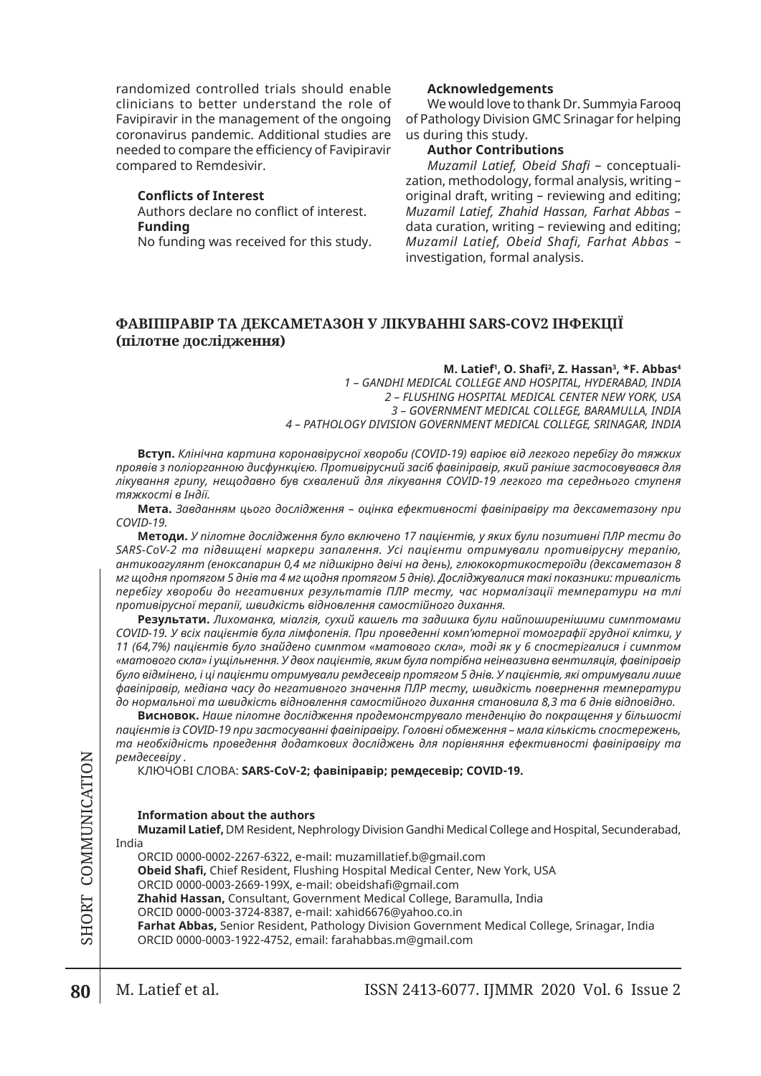randomized controlled trials should enable clinicians to better understand the role of Favipiravir in the management of the ongoing coronavirus pandemic. Additional studies are needed to compare the efficiency of Favipiravir compared to Remdesivir.

### **Conflicts of Interest**

Authors declare no conflict of interest. **Funding**

No funding was received for this study.

### **Acknowledgements**

We would love to thank Dr. Summyia Farooq of Pathology Division GMC Srinagar for helping us during this study.

## **Author Contributions**

*Muzamil Latief, Obeid Shafi* – conceptualization, methodology, formal analysis, writing – original draft, writing – reviewing and editing; *Muzamil Latief, Zhahid Hassan, Farhat Abbas* – data curation, writing – reviewing and editing; *Muzamil Latief, Obeid Shafi, Farhat Abbas* – investigation, formal analysis.

# **ФАВІПІРАВІР ТА ДЕКСАМЕТАЗОН У ЛІКУВАННІ SARS-COV2 ІНФЕКЦІЇ (пілотне дослідження)**

### **M. Latief1 , O. Shafi<sup>2</sup> , Z. Hassan3 , \*F. Abbas4**

*1 – GANDHI MEDICAL COLLEGE AND HOSPITAL, HYDERABAD, INDIA 2 – FLUSHING HOSPITAL MEDICAL CENTER NEW YORK, USA 3 – GOVERNMENT MEDICAL COLLEGE, BARAMULLA, INDIA 4 – PATHOLOGY DIVISION GOVERNMENT MEDICAL COLLEGE, SRINAGAR, INDIA*

**Вступ.** *Клінічна картина коронавірусної хвороби (COVID-19) варіює від легкого перебігу до тяжких проявів з поліорганною дисфункцією. Противірусний засіб фавіпіравір, який раніше застосовувався для лікування грипу, нещодавно був схвалений для лікування COVID-19 легкого та середнього ступеня тяжкості в Індії.*

**Мета.** *Завданням цього дослідження – оцінка ефективності фавіпіравіру та дексаметазону при COVID-19.*

**Методи.** *У пілотне дослідження було включено 17 пацієнтів, у яких були позитивні ПЛР тести до SARS-CoV-2 та підвищені маркери запалення. Усі пацієнти отримували противірусну терапію, антикоагулянт (еноксапарин 0,4 мг підшкірно двічі на день), глюкокортикостероїди (дексаметазон 8 мг щодня протягом 5 днів та 4 мг щодня протягом 5 днів). Досліджувалися такі показники: тривалість перебігу хвороби до негативних результатів ПЛР тесту, час нормалізації температури на тлі противірусної терапії, швидкість відновлення самостійного дихання.*

**Результати.** *Лихоманка, міалгія, сухий кашель та задишка були найпоширенішими симптомами COVID-19. У всіх пацієнтів була лімфопенія. При проведенні комп'ютерної томографії грудної клітки, у 11 (64,7%) пацієнтів було знайдено симптом «матового скла», тоді як у 6 спостерігалися і симптом «матового скла» і ущільнення. У двох пацієнтів, яким була потрібна неінвазивна вентиляція, фавіпіравір було відмінено, і ці пацієнти отримували ремдесевір протягом 5 днів. У пацієнтів, які отримували лише фавіпіравір, медіана часу до негативного значення ПЛР тесту, швидкість повернення температури до нормальної та швидкість відновлення самостійного дихання становила 8,3 та 6 днів відповідно.*

**Висновок.** *Наше пілотне дослідження продемонструвало тенденцію до покращення у більшості пацієнтів із COVID-19 при застосуванні фавіпіравіру. Головні обмеження – мала кількість спостережень, та необхідність проведення додаткових досліджень для порівняння ефективності фавіпіравіру та ремдесевіру .*

КЛЮЧОВІ СЛОВА: **SARS-CoV-2; фавіпіравір; ремдесевір; COVID-19.**

### **Information about the authors**

**Muzamil Latief,** DM Resident, Nephrology Division Gandhi Medical College and Hospital, Secunderabad, India

ORCID 0000-0002-2267-6322, e-mail: muzamillatief.b@gmail.com **Obeid Shafi,** Chief Resident, Flushing Hospital Medical Center, New York, USA ORCID 0000-0003-2669-199X, e-mail: obeidshafi@gmail.com **Zhahid Hassan,** Consultant, Government Medical College, Baramulla, India ORCID 0000-0003-3724-8387, e-mail: xahid6676@yahoo.co.in **Farhat Abbas,** Senior Resident, Pathology Division Government Medical College, Srinagar, India ORCID 0000-0003-1922-4752, email: farahabbas.m@gmail.com